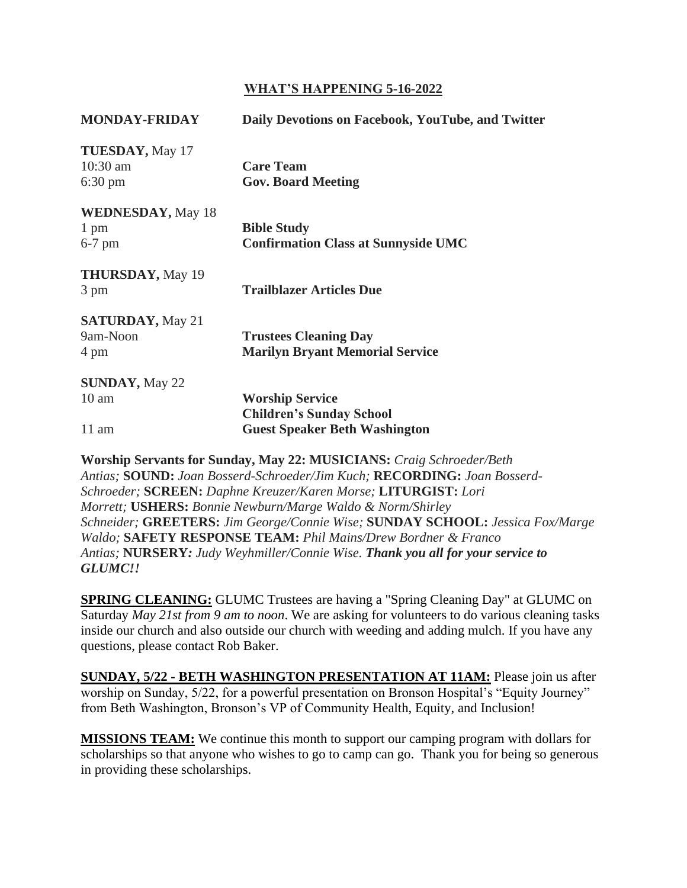## **WHAT'S HAPPENING 5-16-2022**

| <b>MONDAY-FRIDAY</b>                                       | Daily Devotions on Facebook, YouTube, and Twitter |
|------------------------------------------------------------|---------------------------------------------------|
| <b>TUESDAY</b> , May 17<br>$10:30$ am<br>$6:30 \text{ pm}$ | <b>Care Team</b><br><b>Gov. Board Meeting</b>     |
| <b>WEDNESDAY</b> , May 18                                  |                                                   |
| 1 pm                                                       | <b>Bible Study</b>                                |
| $6-7$ pm                                                   | <b>Confirmation Class at Sunnyside UMC</b>        |
| <b>THURSDAY</b> , May 19<br>3 pm                           | <b>Trailblazer Articles Due</b>                   |
|                                                            |                                                   |
| <b>SATURDAY, May 21</b>                                    |                                                   |
| 9am-Noon                                                   | <b>Trustees Cleaning Day</b>                      |
| 4 pm                                                       | <b>Marilyn Bryant Memorial Service</b>            |
| <b>SUNDAY, May 22</b>                                      |                                                   |
| $10 \text{ am}$                                            | <b>Worship Service</b>                            |
|                                                            | <b>Children's Sunday School</b>                   |
| $11 \text{ am}$                                            | <b>Guest Speaker Beth Washington</b>              |
|                                                            |                                                   |

**Worship Servants for Sunday, May 22: MUSICIANS:** *Craig Schroeder/Beth Antias;* **SOUND:** *Joan Bosserd-Schroeder/Jim Kuch;* **RECORDING:** *Joan Bosserd-Schroeder;* **SCREEN:** *Daphne Kreuzer/Karen Morse;* **LITURGIST:** *Lori Morrett;* **USHERS:** *Bonnie Newburn/Marge Waldo & Norm/Shirley Schneider;* **GREETERS:** *Jim George/Connie Wise;* **SUNDAY SCHOOL:** *Jessica Fox/Marge Waldo;* **SAFETY RESPONSE TEAM:** *Phil Mains/Drew Bordner & Franco Antias;* **NURSERY***: Judy Weyhmiller/Connie Wise. Thank you all for your service to GLUMC!!*

**SPRING CLEANING:** GLUMC Trustees are having a "Spring Cleaning Day" at GLUMC on Saturday *May 21st from 9 am to noon*. We are asking for volunteers to do various cleaning tasks inside our church and also outside our church with weeding and adding mulch. If you have any questions, please contact Rob Baker.

**SUNDAY, 5/22 - BETH WASHINGTON PRESENTATION AT 11AM:** Please join us after worship on Sunday, 5/22, for a powerful presentation on Bronson Hospital's "Equity Journey" from Beth Washington, Bronson's VP of Community Health, Equity, and Inclusion!

**MISSIONS TEAM:** We continue this month to support our camping program with dollars for scholarships so that anyone who wishes to go to camp can go. Thank you for being so generous in providing these scholarships.